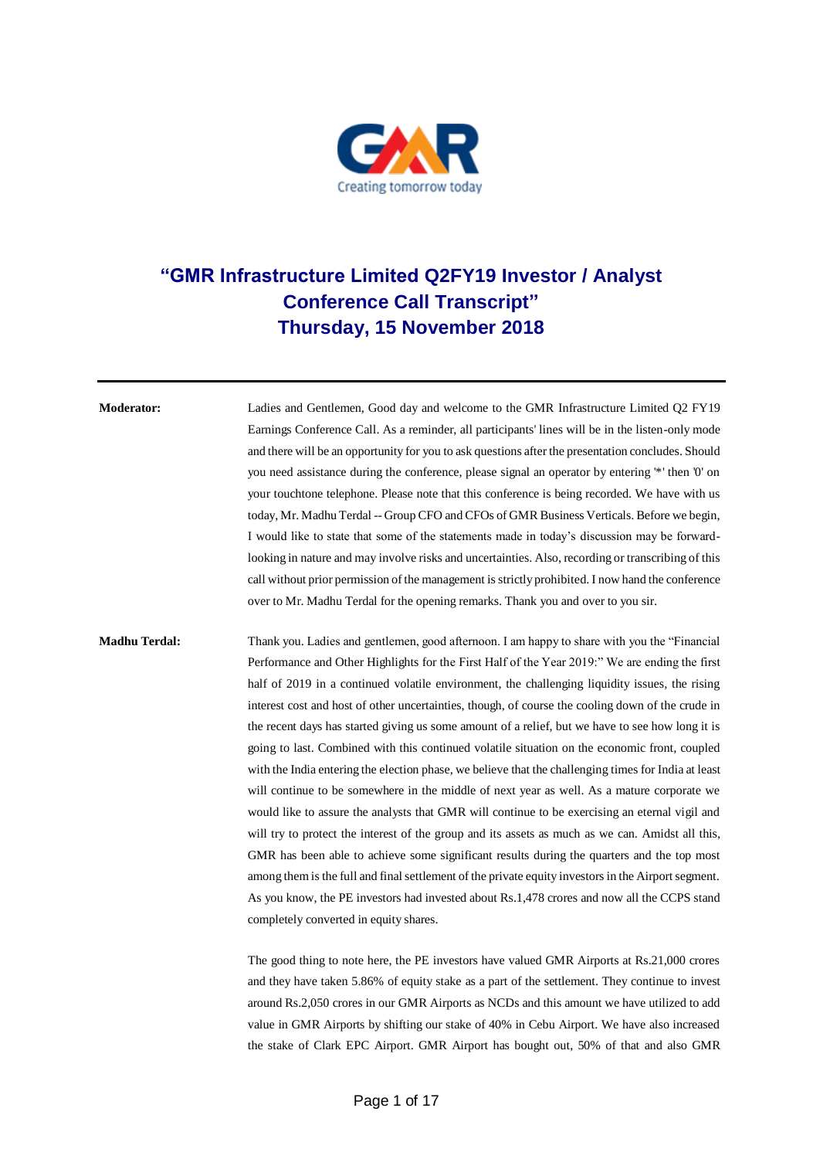

## **"GMR Infrastructure Limited Q2FY19 Investor / Analyst Conference Call Transcript" Thursday, 15 November 2018**

**Moderator:** Ladies and Gentlemen, Good day and welcome to the GMR Infrastructure Limited Q2 FY19 Earnings Conference Call. As a reminder, all participants' lines will be in the listen-only mode and there will be an opportunity for you to ask questions after the presentation concludes. Should you need assistance during the conference, please signal an operator by entering '\*' then '0' on your touchtone telephone. Please note that this conference is being recorded. We have with us today, Mr. Madhu Terdal -- Group CFO and CFOs of GMR Business Verticals. Before we begin, I would like to state that some of the statements made in today's discussion may be forwardlooking in nature and may involve risks and uncertainties. Also, recording or transcribing of this call without prior permission of the management is strictly prohibited. I now hand the conference over to Mr. Madhu Terdal for the opening remarks. Thank you and over to you sir.

**Madhu Terdal:** Thank you. Ladies and gentlemen, good afternoon. I am happy to share with you the "Financial Performance and Other Highlights for the First Half of the Year 2019:" We are ending the first half of 2019 in a continued volatile environment, the challenging liquidity issues, the rising interest cost and host of other uncertainties, though, of course the cooling down of the crude in the recent days has started giving us some amount of a relief, but we have to see how long it is going to last. Combined with this continued volatile situation on the economic front, coupled with the India entering the election phase, we believe that the challenging times for India at least will continue to be somewhere in the middle of next year as well. As a mature corporate we would like to assure the analysts that GMR will continue to be exercising an eternal vigil and will try to protect the interest of the group and its assets as much as we can. Amidst all this, GMR has been able to achieve some significant results during the quarters and the top most among them is the full and final settlement of the private equity investors in the Airport segment. As you know, the PE investors had invested about Rs.1,478 crores and now all the CCPS stand completely converted in equity shares.

> The good thing to note here, the PE investors have valued GMR Airports at Rs.21,000 crores and they have taken 5.86% of equity stake as a part of the settlement. They continue to invest around Rs.2,050 crores in our GMR Airports as NCDs and this amount we have utilized to add value in GMR Airports by shifting our stake of 40% in Cebu Airport. We have also increased the stake of Clark EPC Airport. GMR Airport has bought out, 50% of that and also GMR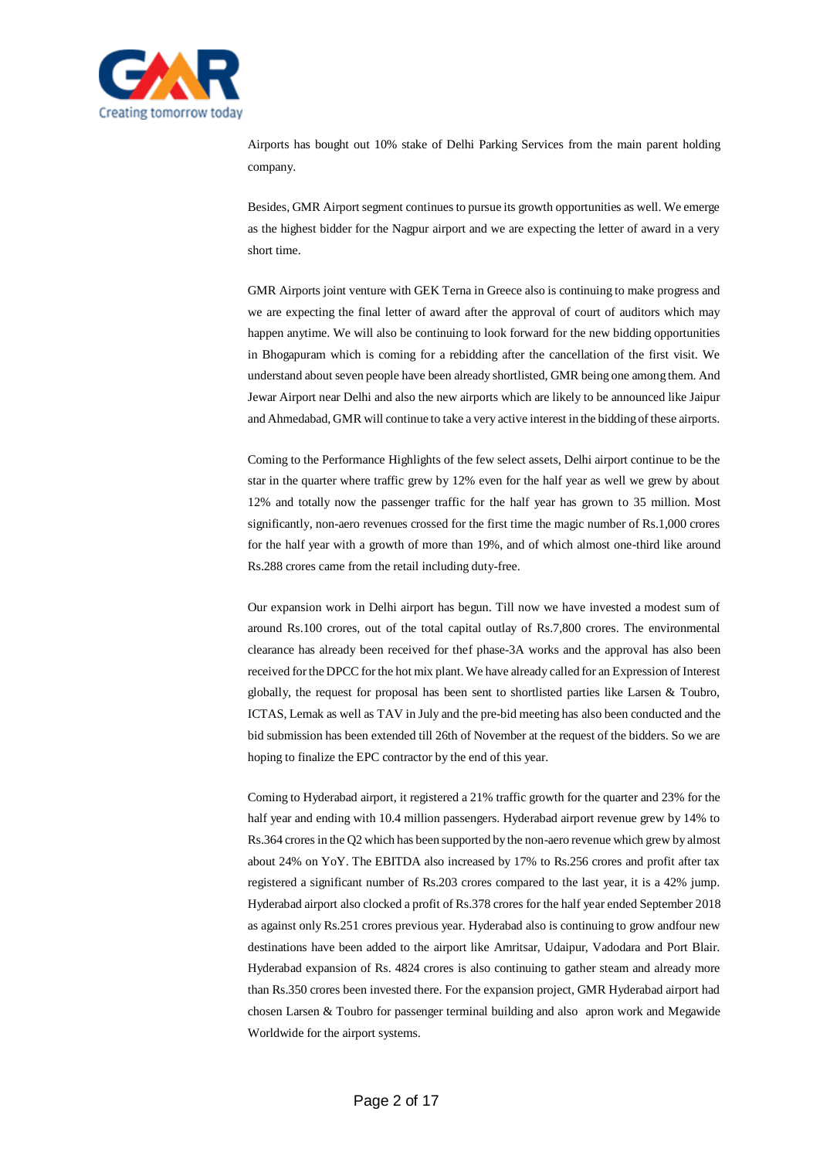

Airports has bought out 10% stake of Delhi Parking Services from the main parent holding company.

Besides, GMR Airport segment continues to pursue its growth opportunities as well. We emerge as the highest bidder for the Nagpur airport and we are expecting the letter of award in a very short time.

GMR Airports joint venture with GEK Terna in Greece also is continuing to make progress and we are expecting the final letter of award after the approval of court of auditors which may happen anytime. We will also be continuing to look forward for the new bidding opportunities in Bhogapuram which is coming for a rebidding after the cancellation of the first visit. We understand about seven people have been already shortlisted, GMR being one among them. And Jewar Airport near Delhi and also the new airports which are likely to be announced like Jaipur and Ahmedabad, GMR will continue to take a very active interest in the bidding of these airports.

Coming to the Performance Highlights of the few select assets, Delhi airport continue to be the star in the quarter where traffic grew by 12% even for the half year as well we grew by about 12% and totally now the passenger traffic for the half year has grown to 35 million. Most significantly, non-aero revenues crossed for the first time the magic number of Rs.1,000 crores for the half year with a growth of more than 19%, and of which almost one-third like around Rs.288 crores came from the retail including duty-free.

Our expansion work in Delhi airport has begun. Till now we have invested a modest sum of around Rs.100 crores, out of the total capital outlay of Rs.7,800 crores. The environmental clearance has already been received for thef phase-3A works and the approval has also been received for the DPCC for the hot mix plant. We have already called for an Expression of Interest globally, the request for proposal has been sent to shortlisted parties like Larsen & Toubro, ICTAS, Lemak as well as TAV in July and the pre-bid meeting has also been conducted and the bid submission has been extended till 26th of November at the request of the bidders. So we are hoping to finalize the EPC contractor by the end of this year.

Coming to Hyderabad airport, it registered a 21% traffic growth for the quarter and 23% for the half year and ending with 10.4 million passengers. Hyderabad airport revenue grew by 14% to Rs.364 crores in the Q2 which has been supported by the non-aero revenue which grew by almost about 24% on YoY. The EBITDA also increased by 17% to Rs.256 crores and profit after tax registered a significant number of Rs.203 crores compared to the last year, it is a 42% jump. Hyderabad airport also clocked a profit of Rs.378 crores for the half year ended September 2018 as against only Rs.251 crores previous year. Hyderabad also is continuing to grow andfour new destinations have been added to the airport like Amritsar, Udaipur, Vadodara and Port Blair. Hyderabad expansion of Rs. 4824 crores is also continuing to gather steam and already more than Rs.350 crores been invested there. For the expansion project, GMR Hyderabad airport had chosen Larsen & Toubro for passenger terminal building and also apron work and Megawide Worldwide for the airport systems.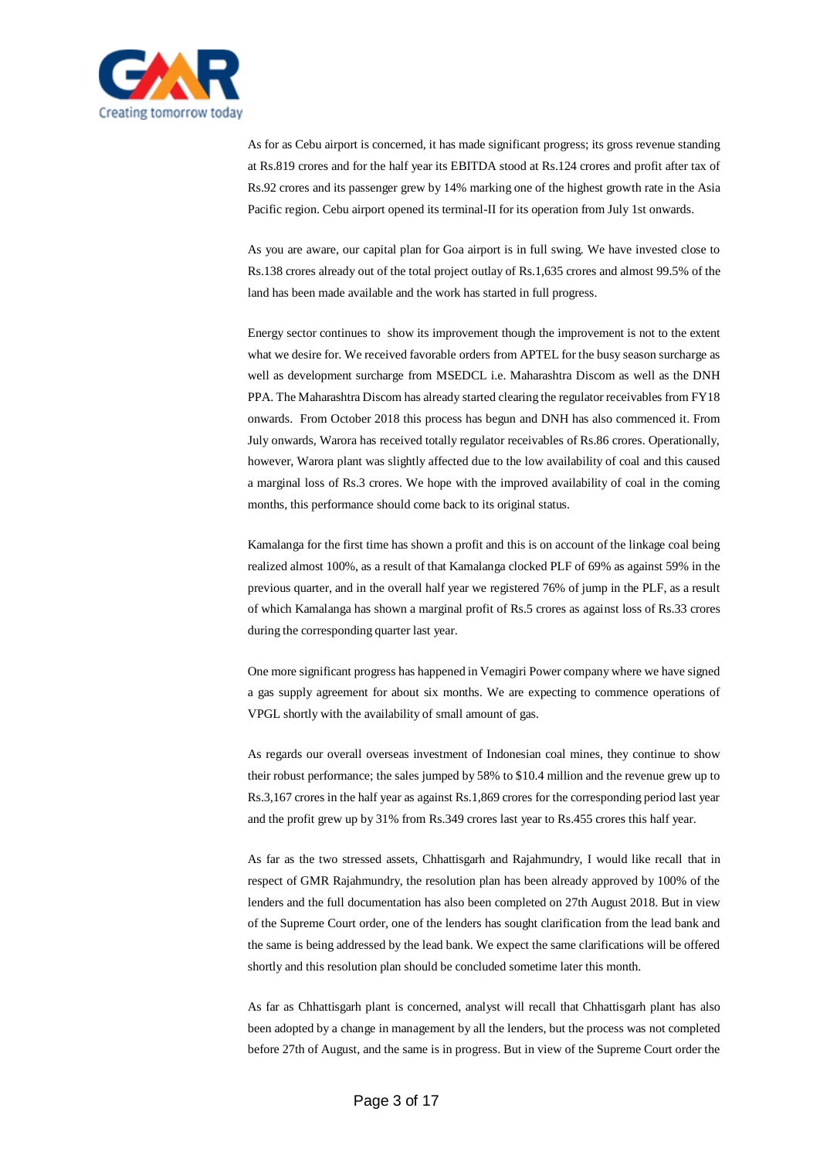

As for as Cebu airport is concerned, it has made significant progress; its gross revenue standing at Rs.819 crores and for the half year its EBITDA stood at Rs.124 crores and profit after tax of Rs.92 crores and its passenger grew by 14% marking one of the highest growth rate in the Asia Pacific region. Cebu airport opened its terminal-II for its operation from July 1st onwards.

As you are aware, our capital plan for Goa airport is in full swing. We have invested close to Rs.138 crores already out of the total project outlay of Rs.1,635 crores and almost 99.5% of the land has been made available and the work has started in full progress.

Energy sector continues to show its improvement though the improvement is not to the extent what we desire for. We received favorable orders from APTEL for the busy season surcharge as well as development surcharge from MSEDCL i.e. Maharashtra Discom as well as the DNH PPA. The Maharashtra Discom has already started clearing the regulator receivables from FY18 onwards. From October 2018 this process has begun and DNH has also commenced it. From July onwards, Warora has received totally regulator receivables of Rs.86 crores. Operationally, however, Warora plant was slightly affected due to the low availability of coal and this caused a marginal loss of Rs.3 crores. We hope with the improved availability of coal in the coming months, this performance should come back to its original status.

Kamalanga for the first time has shown a profit and this is on account of the linkage coal being realized almost 100%, as a result of that Kamalanga clocked PLF of 69% as against 59% in the previous quarter, and in the overall half year we registered 76% of jump in the PLF, as a result of which Kamalanga has shown a marginal profit of Rs.5 crores as against loss of Rs.33 crores during the corresponding quarter last year.

One more significant progress has happened in Vemagiri Power company where we have signed a gas supply agreement for about six months. We are expecting to commence operations of VPGL shortly with the availability of small amount of gas.

As regards our overall overseas investment of Indonesian coal mines, they continue to show their robust performance; the sales jumped by 58% to \$10.4 million and the revenue grew up to Rs.3,167 crores in the half year as against Rs.1,869 crores for the corresponding period last year and the profit grew up by 31% from Rs.349 crores last year to Rs.455 crores this half year.

As far as the two stressed assets, Chhattisgarh and Rajahmundry, I would like recall that in respect of GMR Rajahmundry, the resolution plan has been already approved by 100% of the lenders and the full documentation has also been completed on 27th August 2018. But in view of the Supreme Court order, one of the lenders has sought clarification from the lead bank and the same is being addressed by the lead bank. We expect the same clarifications will be offered shortly and this resolution plan should be concluded sometime later this month.

As far as Chhattisgarh plant is concerned, analyst will recall that Chhattisgarh plant has also been adopted by a change in management by all the lenders, but the process was not completed before 27th of August, and the same is in progress. But in view of the Supreme Court order the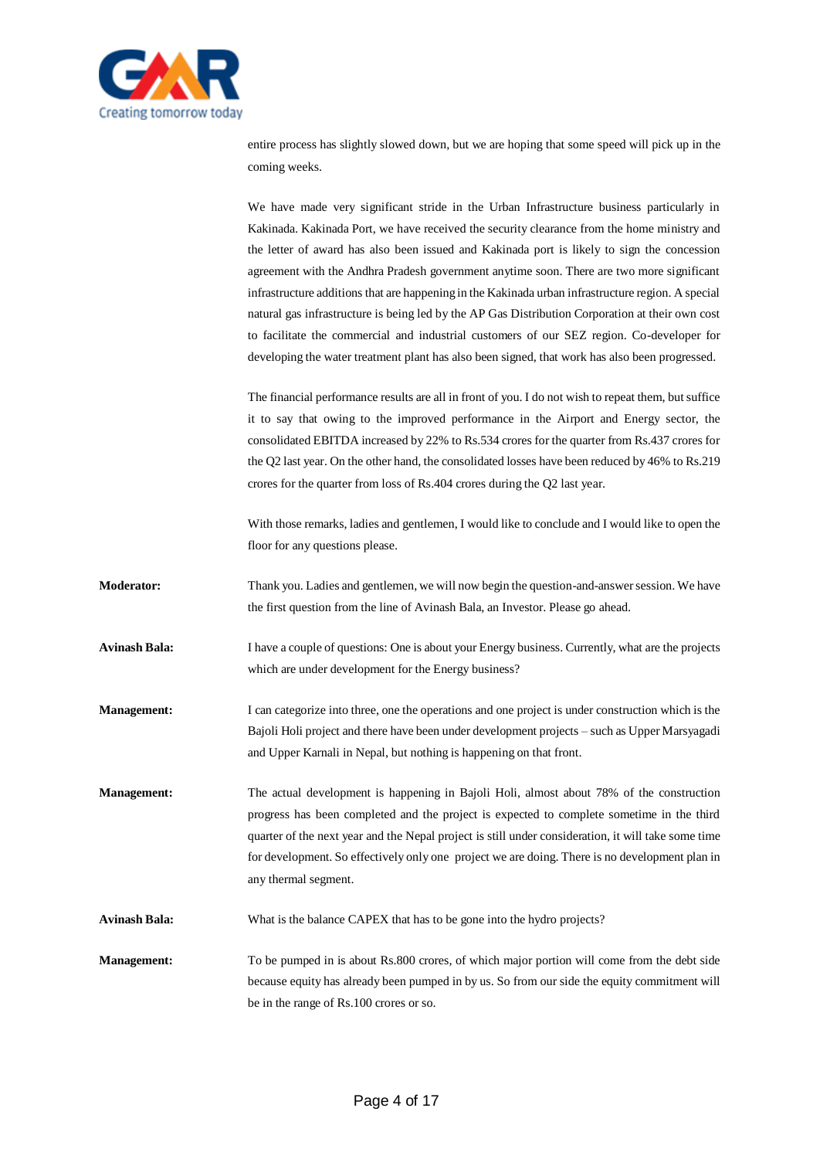

entire process has slightly slowed down, but we are hoping that some speed will pick up in the coming weeks.

We have made very significant stride in the Urban Infrastructure business particularly in Kakinada. Kakinada Port, we have received the security clearance from the home ministry and the letter of award has also been issued and Kakinada port is likely to sign the concession agreement with the Andhra Pradesh government anytime soon. There are two more significant infrastructure additions that are happening in the Kakinada urban infrastructure region. A special natural gas infrastructure is being led by the AP Gas Distribution Corporation at their own cost to facilitate the commercial and industrial customers of our SEZ region. Co-developer for developing the water treatment plant has also been signed, that work has also been progressed.

The financial performance results are all in front of you. I do not wish to repeat them, but suffice it to say that owing to the improved performance in the Airport and Energy sector, the consolidated EBITDA increased by 22% to Rs.534 crores for the quarter from Rs.437 crores for the Q2 last year. On the other hand, the consolidated losses have been reduced by 46% to Rs.219 crores for the quarter from loss of Rs.404 crores during the Q2 last year.

With those remarks, ladies and gentlemen, I would like to conclude and I would like to open the floor for any questions please.

- **Moderator:** Thank you. Ladies and gentlemen, we will now begin the question-and-answer session. We have the first question from the line of Avinash Bala, an Investor. Please go ahead.
- **Avinash Bala:** I have a couple of questions: One is about your Energy business. Currently, what are the projects which are under development for the Energy business?
- **Management:** I can categorize into three, one the operations and one project is under construction which is the Bajoli Holi project and there have been under development projects – such as Upper Marsyagadi and Upper Karnali in Nepal, but nothing is happening on that front.

**Management:** The actual development is happening in Bajoli Holi, almost about 78% of the construction progress has been completed and the project is expected to complete sometime in the third quarter of the next year and the Nepal project is still under consideration, it will take some time for development. So effectively only one project we are doing. There is no development plan in any thermal segment.

**Avinash Bala:** What is the balance CAPEX that has to be gone into the hydro projects?

**Management:** To be pumped in is about Rs.800 crores, of which major portion will come from the debt side because equity has already been pumped in by us. So from our side the equity commitment will be in the range of Rs.100 crores or so.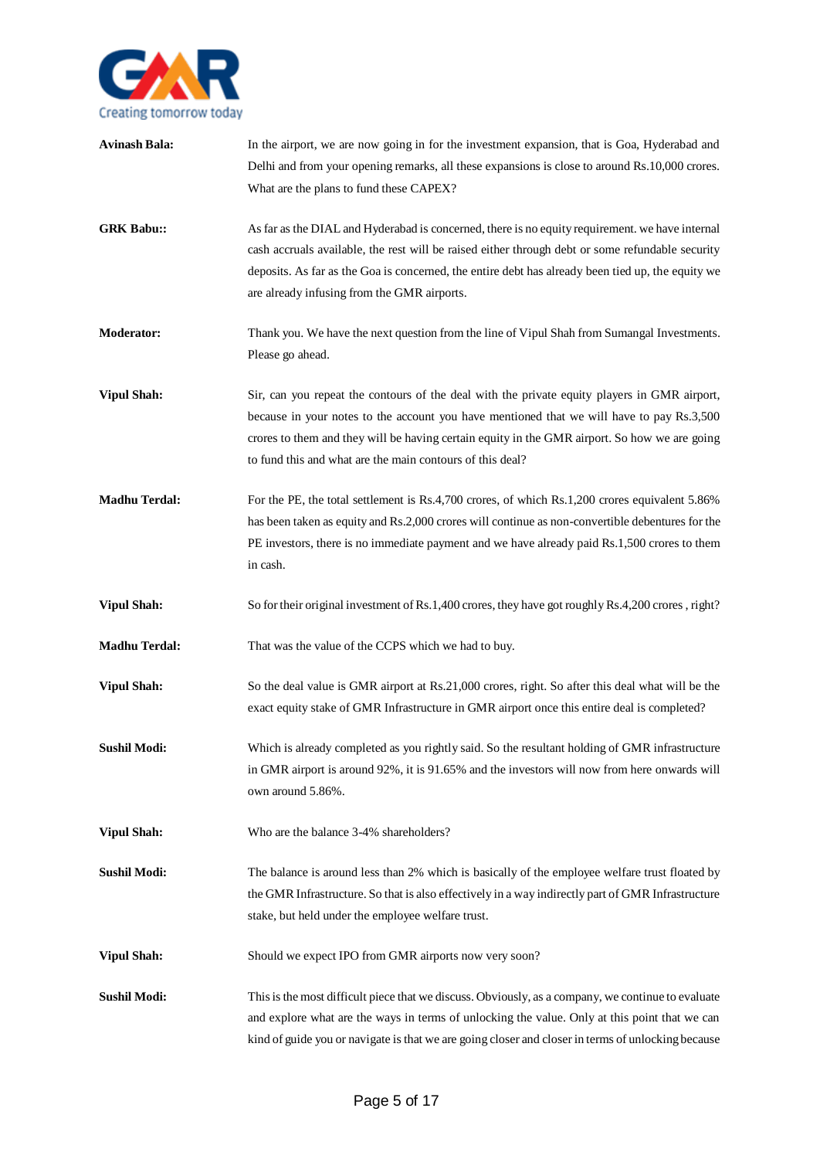

| <b>Avinash Bala:</b> | In the airport, we are now going in for the investment expansion, that is Goa, Hyderabad and<br>Delhi and from your opening remarks, all these expansions is close to around Rs.10,000 crores.                                                                                                                                                          |
|----------------------|---------------------------------------------------------------------------------------------------------------------------------------------------------------------------------------------------------------------------------------------------------------------------------------------------------------------------------------------------------|
|                      | What are the plans to fund these CAPEX?                                                                                                                                                                                                                                                                                                                 |
| <b>GRK Babu::</b>    | As far as the DIAL and Hyderabad is concerned, there is no equity requirement. we have internal<br>cash accruals available, the rest will be raised either through debt or some refundable security<br>deposits. As far as the Goa is concerned, the entire debt has already been tied up, the equity we<br>are already infusing from the GMR airports. |
| <b>Moderator:</b>    | Thank you. We have the next question from the line of Vipul Shah from Sumangal Investments.<br>Please go ahead.                                                                                                                                                                                                                                         |
| <b>Vipul Shah:</b>   | Sir, can you repeat the contours of the deal with the private equity players in GMR airport,<br>because in your notes to the account you have mentioned that we will have to pay Rs.3,500<br>crores to them and they will be having certain equity in the GMR airport. So how we are going<br>to fund this and what are the main contours of this deal? |
| <b>Madhu Terdal:</b> | For the PE, the total settlement is Rs.4,700 crores, of which Rs.1,200 crores equivalent 5.86%<br>has been taken as equity and Rs.2,000 crores will continue as non-convertible debentures for the<br>PE investors, there is no immediate payment and we have already paid Rs.1,500 crores to them<br>in cash.                                          |
| <b>Vipul Shah:</b>   | So for their original investment of Rs.1,400 crores, they have got roughly Rs.4,200 crores, right?                                                                                                                                                                                                                                                      |
| <b>Madhu Terdal:</b> | That was the value of the CCPS which we had to buy.                                                                                                                                                                                                                                                                                                     |
| <b>Vipul Shah:</b>   | So the deal value is GMR airport at Rs.21,000 crores, right. So after this deal what will be the<br>exact equity stake of GMR Infrastructure in GMR airport once this entire deal is completed?                                                                                                                                                         |
| <b>Sushil Modi:</b>  | Which is already completed as you rightly said. So the resultant holding of GMR infrastructure<br>in GMR airport is around 92%, it is 91.65% and the investors will now from here onwards will<br>own around 5.86%.                                                                                                                                     |
| <b>Vipul Shah:</b>   | Who are the balance 3-4% shareholders?                                                                                                                                                                                                                                                                                                                  |
| <b>Sushil Modi:</b>  | The balance is around less than 2% which is basically of the employee welfare trust floated by<br>the GMR Infrastructure. So that is also effectively in a way indirectly part of GMR Infrastructure<br>stake, but held under the employee welfare trust.                                                                                               |
| <b>Vipul Shah:</b>   | Should we expect IPO from GMR airports now very soon?                                                                                                                                                                                                                                                                                                   |
| <b>Sushil Modi:</b>  | This is the most difficult piece that we discuss. Obviously, as a company, we continue to evaluate<br>and explore what are the ways in terms of unlocking the value. Only at this point that we can<br>kind of guide you or navigate is that we are going closer and closer in terms of unlocking because                                               |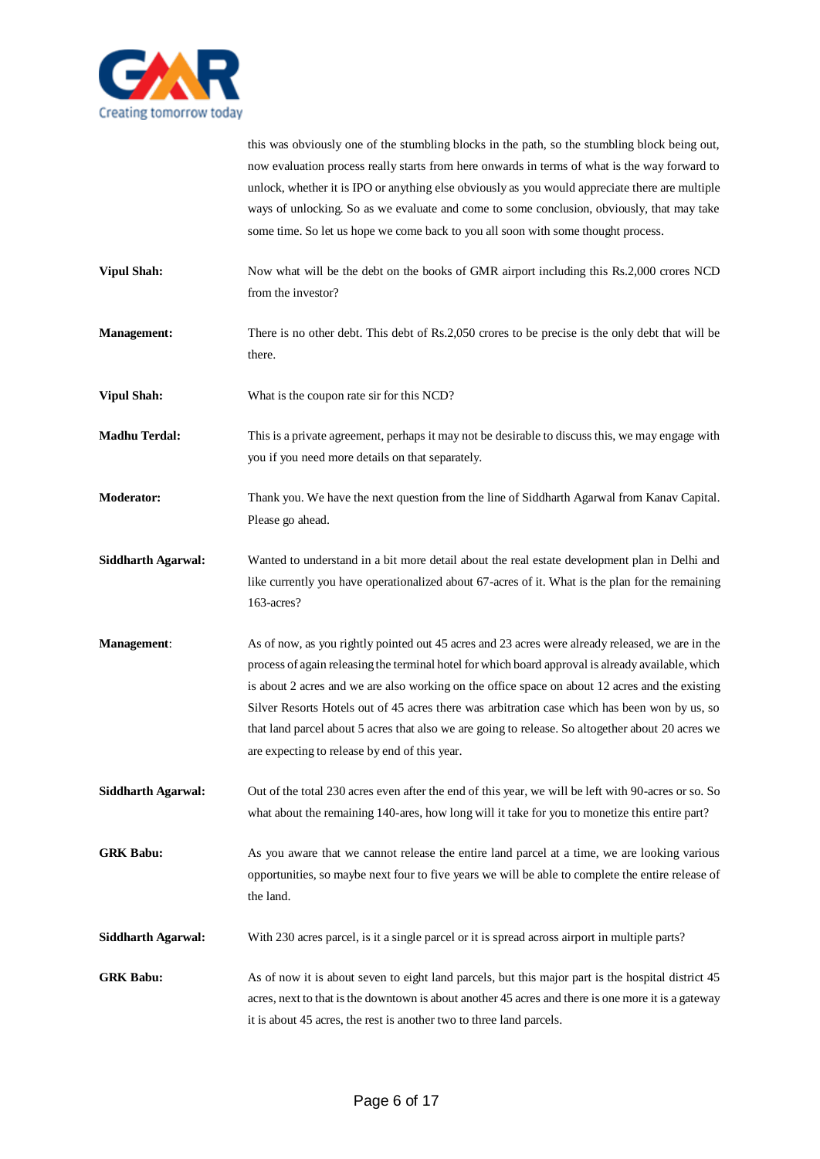

this was obviously one of the stumbling blocks in the path, so the stumbling block being out, now evaluation process really starts from here onwards in terms of what is the way forward to unlock, whether it is IPO or anything else obviously as you would appreciate there are multiple ways of unlocking. So as we evaluate and come to some conclusion, obviously, that may take some time. So let us hope we come back to you all soon with some thought process.

- **Vipul Shah:** Now what will be the debt on the books of GMR airport including this Rs.2,000 crores NCD from the investor?
- **Management:** There is no other debt. This debt of Rs.2,050 crores to be precise is the only debt that will be there.
- **Vipul Shah:** What is the coupon rate sir for this NCD?
- **Madhu Terdal:** This is a private agreement, perhaps it may not be desirable to discuss this, we may engage with you if you need more details on that separately.
- **Moderator:** Thank you. We have the next question from the line of Siddharth Agarwal from Kanav Capital. Please go ahead.
- **Siddharth Agarwal:** Wanted to understand in a bit more detail about the real estate development plan in Delhi and like currently you have operationalized about 67-acres of it. What is the plan for the remaining 163-acres?
- **Management**: As of now, as you rightly pointed out 45 acres and 23 acres were already released, we are in the process of again releasing the terminal hotel for which board approval is already available, which is about 2 acres and we are also working on the office space on about 12 acres and the existing Silver Resorts Hotels out of 45 acres there was arbitration case which has been won by us, so that land parcel about 5 acres that also we are going to release. So altogether about 20 acres we are expecting to release by end of this year.
- **Siddharth Agarwal:** Out of the total 230 acres even after the end of this year, we will be left with 90-acres or so. So what about the remaining 140-ares, how long will it take for you to monetize this entire part?
- **GRK Babu:** As you aware that we cannot release the entire land parcel at a time, we are looking various opportunities, so maybe next four to five years we will be able to complete the entire release of the land.
- **Siddharth Agarwal:** With 230 acres parcel, is it a single parcel or it is spread across airport in multiple parts?
- **GRK Babu:** As of now it is about seven to eight land parcels, but this major part is the hospital district 45 acres, next to that is the downtown is about another 45 acres and there is one more it is a gateway it is about 45 acres, the rest is another two to three land parcels.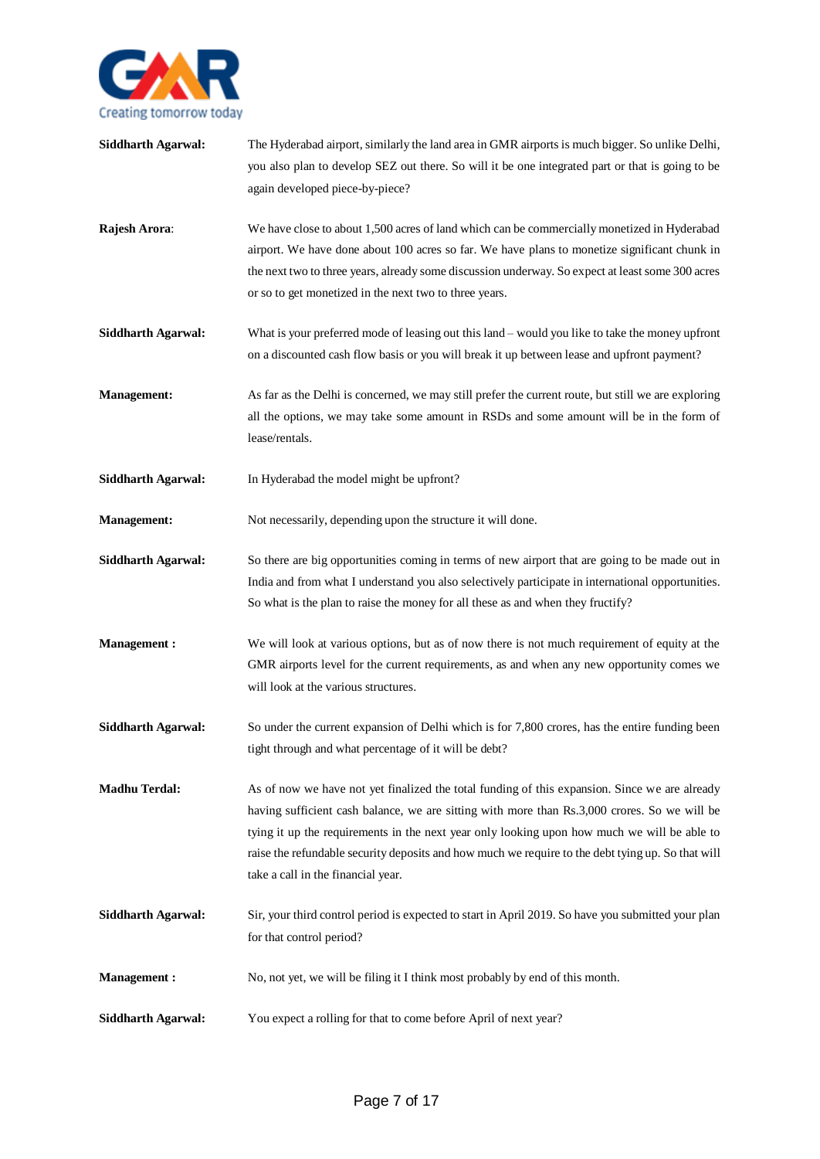

- **Siddharth Agarwal:** The Hyderabad airport, similarly the land area in GMR airports is much bigger. So unlike Delhi, you also plan to develop SEZ out there. So will it be one integrated part or that is going to be again developed piece-by-piece?
- **Rajesh Arora**: We have close to about 1,500 acres of land which can be commercially monetized in Hyderabad airport. We have done about 100 acres so far. We have plans to monetize significant chunk in the next two to three years, already some discussion underway. So expect at least some 300 acres or so to get monetized in the next two to three years.
- **Siddharth Agarwal:** What is your preferred mode of leasing out this land would you like to take the money upfront on a discounted cash flow basis or you will break it up between lease and upfront payment?
- **Management:** As far as the Delhi is concerned, we may still prefer the current route, but still we are exploring all the options, we may take some amount in RSDs and some amount will be in the form of lease/rentals.
- **Siddharth Agarwal:** In Hyderabad the model might be upfront?
- **Management:** Not necessarily, depending upon the structure it will done.
- Siddharth Agarwal: So there are big opportunities coming in terms of new airport that are going to be made out in India and from what I understand you also selectively participate in international opportunities. So what is the plan to raise the money for all these as and when they fructify?
- **Management :** We will look at various options, but as of now there is not much requirement of equity at the GMR airports level for the current requirements, as and when any new opportunity comes we will look at the various structures.
- **Siddharth Agarwal:** So under the current expansion of Delhi which is for 7,800 crores, has the entire funding been tight through and what percentage of it will be debt?
- **Madhu Terdal:** As of now we have not yet finalized the total funding of this expansion. Since we are already having sufficient cash balance, we are sitting with more than Rs.3,000 crores. So we will be tying it up the requirements in the next year only looking upon how much we will be able to raise the refundable security deposits and how much we require to the debt tying up. So that will take a call in the financial year.
- **Siddharth Agarwal:** Sir, your third control period is expected to start in April 2019. So have you submitted your plan for that control period?
- **Management :** No, not yet, we will be filing it I think most probably by end of this month.
- **Siddharth Agarwal:** You expect a rolling for that to come before April of next year?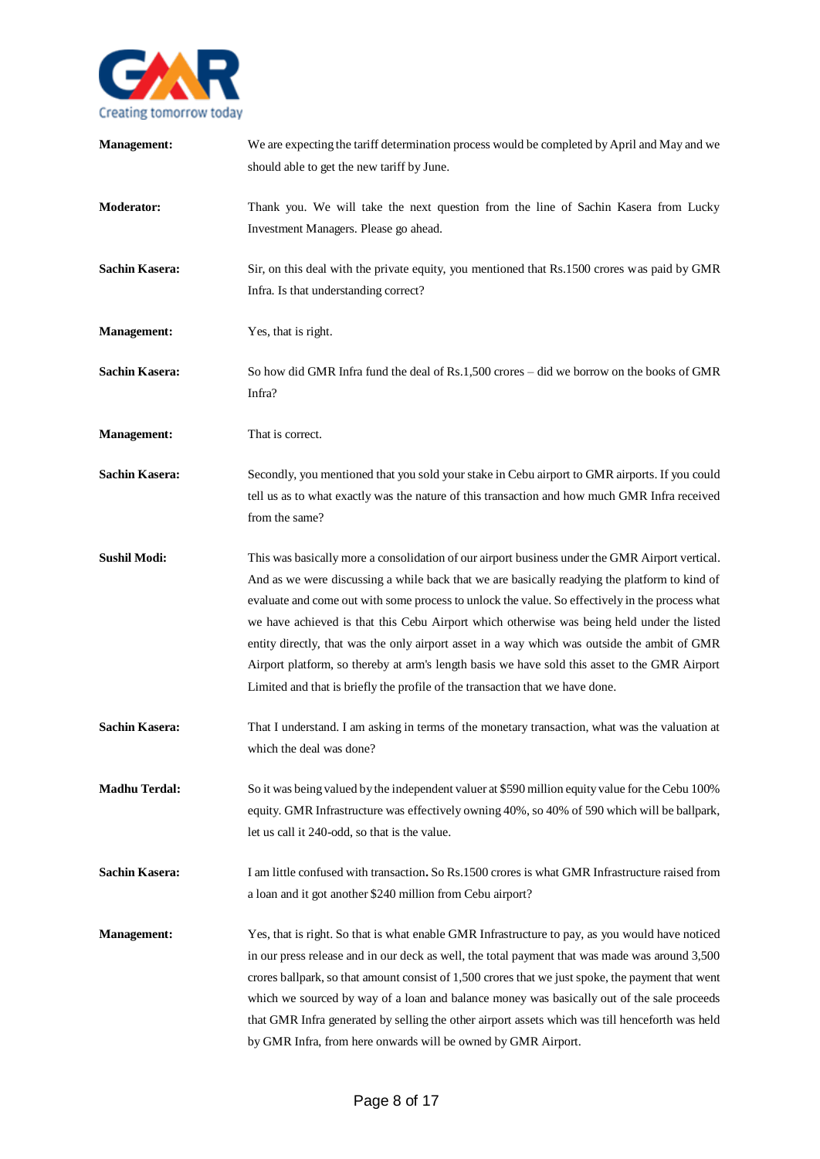

| <b>Management:</b>    | We are expecting the tariff determination process would be completed by April and May and we<br>should able to get the new tariff by June.                                                                                                                                                                                                                                                                                                                                                                                                                                                                                                                                          |
|-----------------------|-------------------------------------------------------------------------------------------------------------------------------------------------------------------------------------------------------------------------------------------------------------------------------------------------------------------------------------------------------------------------------------------------------------------------------------------------------------------------------------------------------------------------------------------------------------------------------------------------------------------------------------------------------------------------------------|
| <b>Moderator:</b>     | Thank you. We will take the next question from the line of Sachin Kasera from Lucky<br>Investment Managers. Please go ahead.                                                                                                                                                                                                                                                                                                                                                                                                                                                                                                                                                        |
| <b>Sachin Kasera:</b> | Sir, on this deal with the private equity, you mentioned that Rs.1500 crores was paid by GMR<br>Infra. Is that understanding correct?                                                                                                                                                                                                                                                                                                                                                                                                                                                                                                                                               |
| <b>Management:</b>    | Yes, that is right.                                                                                                                                                                                                                                                                                                                                                                                                                                                                                                                                                                                                                                                                 |
| <b>Sachin Kasera:</b> | So how did GMR Infra fund the deal of Rs.1,500 crores – did we borrow on the books of GMR<br>Infra?                                                                                                                                                                                                                                                                                                                                                                                                                                                                                                                                                                                 |
| <b>Management:</b>    | That is correct.                                                                                                                                                                                                                                                                                                                                                                                                                                                                                                                                                                                                                                                                    |
| <b>Sachin Kasera:</b> | Secondly, you mentioned that you sold your stake in Cebu airport to GMR airports. If you could<br>tell us as to what exactly was the nature of this transaction and how much GMR Infra received<br>from the same?                                                                                                                                                                                                                                                                                                                                                                                                                                                                   |
| <b>Sushil Modi:</b>   | This was basically more a consolidation of our airport business under the GMR Airport vertical.<br>And as we were discussing a while back that we are basically readying the platform to kind of<br>evaluate and come out with some process to unlock the value. So effectively in the process what<br>we have achieved is that this Cebu Airport which otherwise was being held under the listed<br>entity directly, that was the only airport asset in a way which was outside the ambit of GMR<br>Airport platform, so thereby at arm's length basis we have sold this asset to the GMR Airport<br>Limited and that is briefly the profile of the transaction that we have done. |
| <b>Sachin Kasera:</b> | That I understand. I am asking in terms of the monetary transaction, what was the valuation at<br>which the deal was done?                                                                                                                                                                                                                                                                                                                                                                                                                                                                                                                                                          |
| <b>Madhu Terdal:</b>  | So it was being valued by the independent valuer at \$590 million equity value for the Cebu 100%<br>equity. GMR Infrastructure was effectively owning 40%, so 40% of 590 which will be ballpark,<br>let us call it 240-odd, so that is the value.                                                                                                                                                                                                                                                                                                                                                                                                                                   |
| <b>Sachin Kasera:</b> | I am little confused with transaction. So Rs.1500 crores is what GMR Infrastructure raised from<br>a loan and it got another \$240 million from Cebu airport?                                                                                                                                                                                                                                                                                                                                                                                                                                                                                                                       |
| <b>Management:</b>    | Yes, that is right. So that is what enable GMR Infrastructure to pay, as you would have noticed<br>in our press release and in our deck as well, the total payment that was made was around 3,500<br>crores ballpark, so that amount consist of 1,500 crores that we just spoke, the payment that went<br>which we sourced by way of a loan and balance money was basically out of the sale proceeds<br>that GMR Infra generated by selling the other airport assets which was till henceforth was held<br>by GMR Infra, from here onwards will be owned by GMR Airport.                                                                                                            |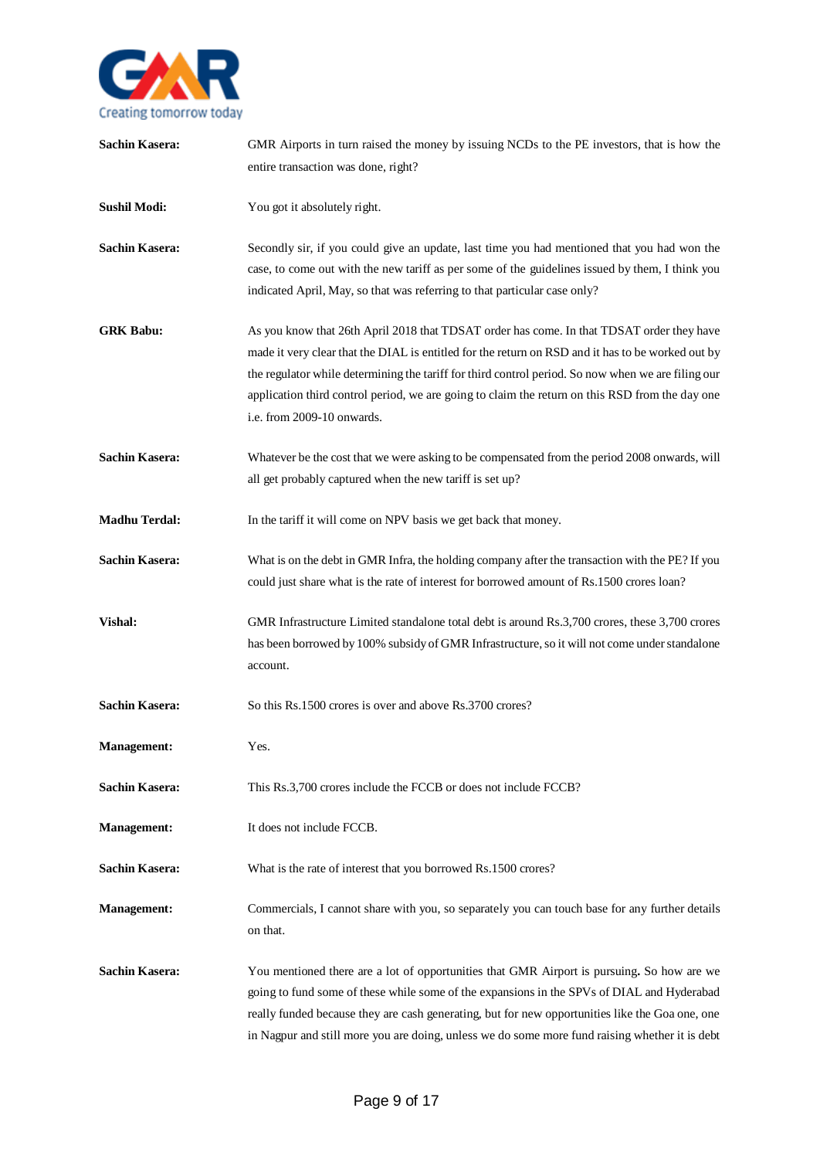

| <b>Sachin Kasera:</b> | GMR Airports in turn raised the money by issuing NCDs to the PE investors, that is how the<br>entire transaction was done, right?                                                                                                                                                                                                                                                                                                     |
|-----------------------|---------------------------------------------------------------------------------------------------------------------------------------------------------------------------------------------------------------------------------------------------------------------------------------------------------------------------------------------------------------------------------------------------------------------------------------|
| <b>Sushil Modi:</b>   | You got it absolutely right.                                                                                                                                                                                                                                                                                                                                                                                                          |
| <b>Sachin Kasera:</b> | Secondly sir, if you could give an update, last time you had mentioned that you had won the<br>case, to come out with the new tariff as per some of the guidelines issued by them, I think you<br>indicated April, May, so that was referring to that particular case only?                                                                                                                                                           |
| <b>GRK Babu:</b>      | As you know that 26th April 2018 that TDSAT order has come. In that TDSAT order they have<br>made it very clear that the DIAL is entitled for the return on RSD and it has to be worked out by<br>the regulator while determining the tariff for third control period. So now when we are filing our<br>application third control period, we are going to claim the return on this RSD from the day one<br>i.e. from 2009-10 onwards. |
| <b>Sachin Kasera:</b> | Whatever be the cost that we were asking to be compensated from the period 2008 onwards, will<br>all get probably captured when the new tariff is set up?                                                                                                                                                                                                                                                                             |
| <b>Madhu Terdal:</b>  | In the tariff it will come on NPV basis we get back that money.                                                                                                                                                                                                                                                                                                                                                                       |
| <b>Sachin Kasera:</b> | What is on the debt in GMR Infra, the holding company after the transaction with the PE? If you<br>could just share what is the rate of interest for borrowed amount of Rs.1500 crores loan?                                                                                                                                                                                                                                          |
| Vishal:               | GMR Infrastructure Limited standalone total debt is around Rs.3,700 crores, these 3,700 crores<br>has been borrowed by 100% subsidy of GMR Infrastructure, so it will not come under standalone<br>account.                                                                                                                                                                                                                           |
| <b>Sachin Kasera:</b> | So this Rs.1500 crores is over and above Rs.3700 crores?                                                                                                                                                                                                                                                                                                                                                                              |
| <b>Management:</b>    | Yes.                                                                                                                                                                                                                                                                                                                                                                                                                                  |
| <b>Sachin Kasera:</b> | This Rs.3,700 crores include the FCCB or does not include FCCB?                                                                                                                                                                                                                                                                                                                                                                       |
| <b>Management:</b>    | It does not include FCCB.                                                                                                                                                                                                                                                                                                                                                                                                             |
| <b>Sachin Kasera:</b> | What is the rate of interest that you borrowed Rs.1500 crores?                                                                                                                                                                                                                                                                                                                                                                        |
| <b>Management:</b>    | Commercials, I cannot share with you, so separately you can touch base for any further details<br>on that.                                                                                                                                                                                                                                                                                                                            |
| <b>Sachin Kasera:</b> | You mentioned there are a lot of opportunities that GMR Airport is pursuing. So how are we<br>going to fund some of these while some of the expansions in the SPVs of DIAL and Hyderabad<br>really funded because they are cash generating, but for new opportunities like the Goa one, one<br>in Nagpur and still more you are doing, unless we do some more fund raising whether it is debt                                         |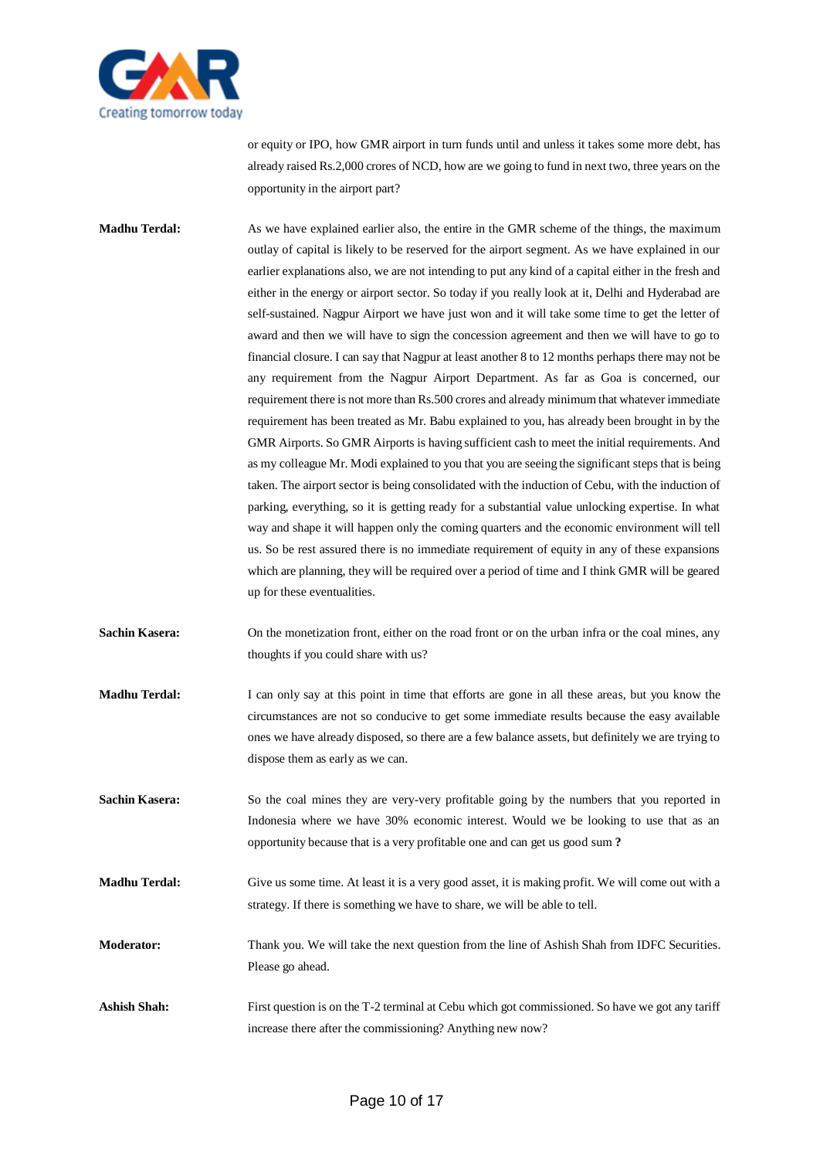

or equity or IPO, how GMR airport in turn funds until and unless it takes some more debt, has already raised Rs.2,000 crores of NCD, how are we going to fund in next two, three years on the opportunity in the airport part?

**Madhu Terdal:** As we have explained earlier also, the entire in the GMR scheme of the things, the maximum outlay of capital is likely to be reserved for the airport segment. As we have explained in our earlier explanations also, we are not intending to put any kind of a capital either in the fresh and either in the energy or airport sector. So today if you really look at it, Delhi and Hyderabad are self-sustained. Nagpur Airport we have just won and it will take some time to get the letter of award and then we will have to sign the concession agreement and then we will have to go to financial closure. I can say that Nagpur at least another 8 to 12 months perhaps there may not be any requirement from the Nagpur Airport Department. As far as Goa is concerned, our requirement there is not more than Rs.500 crores and already minimum that whatever immediate requirement has been treated as Mr. Babu explained to you, has already been brought in by the GMR Airports. So GMR Airports is having sufficient cash to meet the initial requirements. And as my colleague Mr. Modi explained to you that you are seeing the significant steps that is being taken. The airport sector is being consolidated with the induction of Cebu, with the induction of parking, everything, so it is getting ready for a substantial value unlocking expertise. In what way and shape it will happen only the coming quarters and the economic environment will tell us. So be rest assured there is no immediate requirement of equity in any of these expansions which are planning, they will be required over a period of time and I think GMR will be geared up for these eventualities.

- **Sachin Kasera:** On the monetization front, either on the road front or on the urban infra or the coal mines, any thoughts if you could share with us?
- **Madhu Terdal:** I can only say at this point in time that efforts are gone in all these areas, but you know the circumstances are not so conducive to get some immediate results because the easy available ones we have already disposed, so there are a few balance assets, but definitely we are trying to dispose them as early as we can.
- Sachin Kasera: So the coal mines they are very-very profitable going by the numbers that you reported in Indonesia where we have 30% economic interest. Would we be looking to use that as an opportunity because that is a very profitable one and can get us good sum **?**
- **Madhu Terdal:** Give us some time. At least it is a very good asset, it is making profit. We will come out with a strategy. If there is something we have to share, we will be able to tell.
- **Moderator:** Thank you. We will take the next question from the line of Ashish Shah from IDFC Securities. Please go ahead.
- Ashish Shah: First question is on the T-2 terminal at Cebu which got commissioned. So have we got any tariff increase there after the commissioning? Anything new now?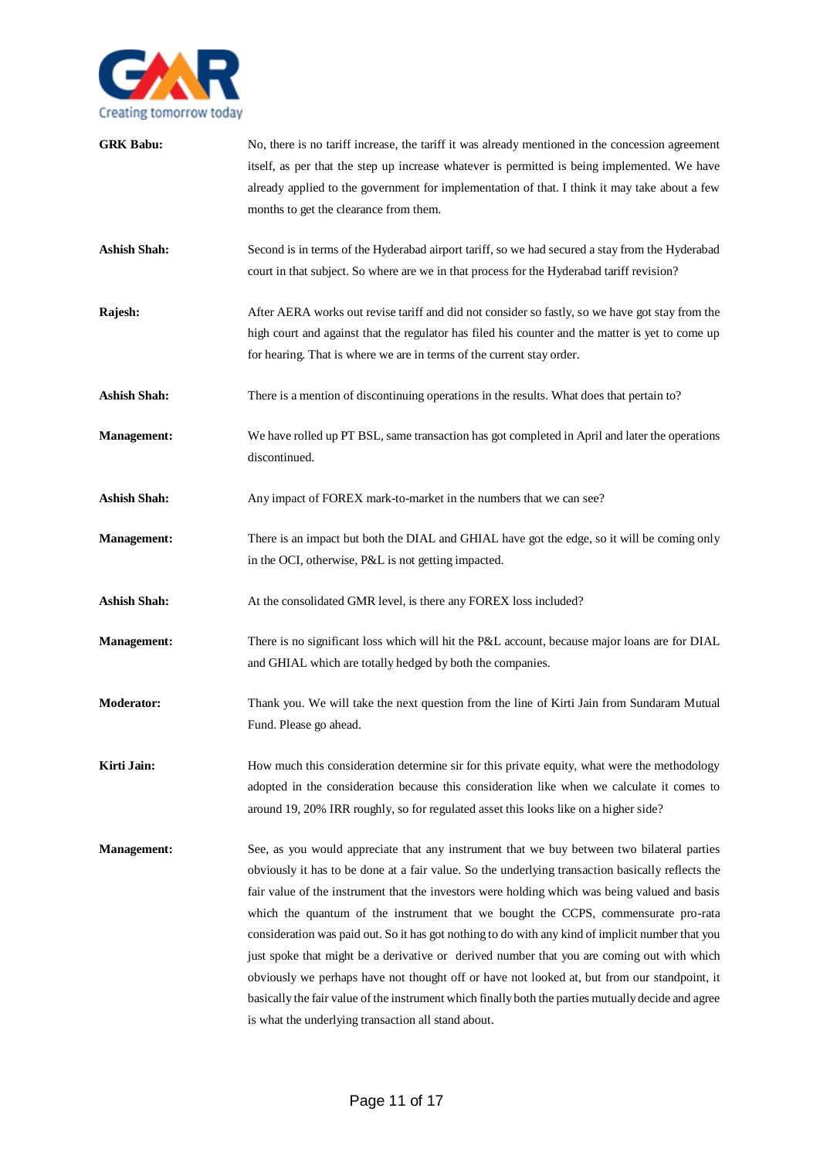

| <b>GRK Babu:</b>    | No, there is no tariff increase, the tariff it was already mentioned in the concession agreement<br>itself, as per that the step up increase whatever is permitted is being implemented. We have<br>already applied to the government for implementation of that. I think it may take about a few<br>months to get the clearance from them.                                                                                                                                                                                                                                                                                                                                                                                                                                                                                                             |
|---------------------|---------------------------------------------------------------------------------------------------------------------------------------------------------------------------------------------------------------------------------------------------------------------------------------------------------------------------------------------------------------------------------------------------------------------------------------------------------------------------------------------------------------------------------------------------------------------------------------------------------------------------------------------------------------------------------------------------------------------------------------------------------------------------------------------------------------------------------------------------------|
| <b>Ashish Shah:</b> | Second is in terms of the Hyderabad airport tariff, so we had secured a stay from the Hyderabad<br>court in that subject. So where are we in that process for the Hyderabad tariff revision?                                                                                                                                                                                                                                                                                                                                                                                                                                                                                                                                                                                                                                                            |
| Rajesh:             | After AERA works out revise tariff and did not consider so fastly, so we have got stay from the<br>high court and against that the regulator has filed his counter and the matter is yet to come up<br>for hearing. That is where we are in terms of the current stay order.                                                                                                                                                                                                                                                                                                                                                                                                                                                                                                                                                                            |
| <b>Ashish Shah:</b> | There is a mention of discontinuing operations in the results. What does that pertain to?                                                                                                                                                                                                                                                                                                                                                                                                                                                                                                                                                                                                                                                                                                                                                               |
| <b>Management:</b>  | We have rolled up PT BSL, same transaction has got completed in April and later the operations<br>discontinued.                                                                                                                                                                                                                                                                                                                                                                                                                                                                                                                                                                                                                                                                                                                                         |
| <b>Ashish Shah:</b> | Any impact of FOREX mark-to-market in the numbers that we can see?                                                                                                                                                                                                                                                                                                                                                                                                                                                                                                                                                                                                                                                                                                                                                                                      |
| <b>Management:</b>  | There is an impact but both the DIAL and GHIAL have got the edge, so it will be coming only<br>in the OCI, otherwise, P&L is not getting impacted.                                                                                                                                                                                                                                                                                                                                                                                                                                                                                                                                                                                                                                                                                                      |
| <b>Ashish Shah:</b> | At the consolidated GMR level, is there any FOREX loss included?                                                                                                                                                                                                                                                                                                                                                                                                                                                                                                                                                                                                                                                                                                                                                                                        |
| <b>Management:</b>  | There is no significant loss which will hit the P&L account, because major loans are for DIAL<br>and GHIAL which are totally hedged by both the companies.                                                                                                                                                                                                                                                                                                                                                                                                                                                                                                                                                                                                                                                                                              |
| <b>Moderator:</b>   | Thank you. We will take the next question from the line of Kirti Jain from Sundaram Mutual<br>Fund. Please go ahead.                                                                                                                                                                                                                                                                                                                                                                                                                                                                                                                                                                                                                                                                                                                                    |
| Kirti Jain:         | How much this consideration determine sir for this private equity, what were the methodology<br>adopted in the consideration because this consideration like when we calculate it comes to<br>around 19, 20% IRR roughly, so for regulated asset this looks like on a higher side?                                                                                                                                                                                                                                                                                                                                                                                                                                                                                                                                                                      |
| <b>Management:</b>  | See, as you would appreciate that any instrument that we buy between two bilateral parties<br>obviously it has to be done at a fair value. So the underlying transaction basically reflects the<br>fair value of the instrument that the investors were holding which was being valued and basis<br>which the quantum of the instrument that we bought the CCPS, commensurate pro-rata<br>consideration was paid out. So it has got nothing to do with any kind of implicit number that you<br>just spoke that might be a derivative or derived number that you are coming out with which<br>obviously we perhaps have not thought off or have not looked at, but from our standpoint, it<br>basically the fair value of the instrument which finally both the parties mutually decide and agree<br>is what the underlying transaction all stand about. |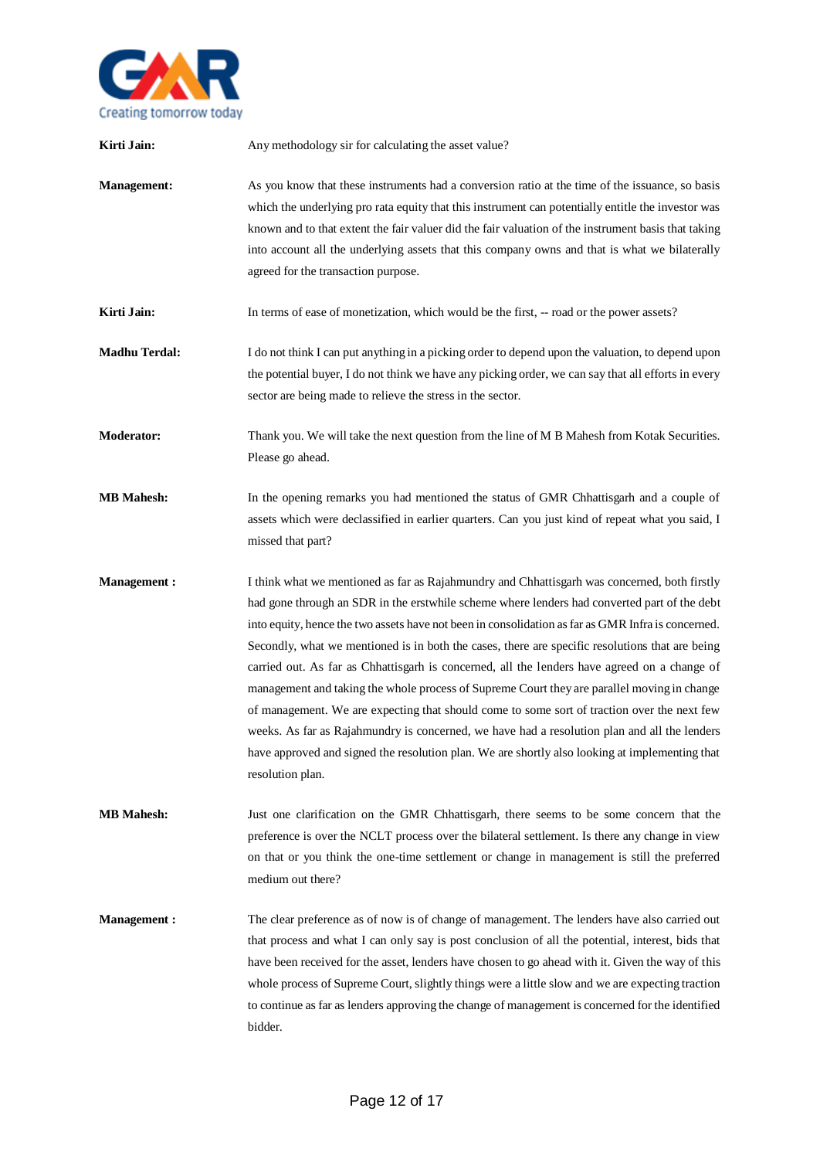

| Kirti Jain:          | Any methodology sir for calculating the asset value?                                                                                                                                                                                                                                                                                                                                                                                                                                                                                                                                                                                                                                                                                                                                                                                                                                                                      |
|----------------------|---------------------------------------------------------------------------------------------------------------------------------------------------------------------------------------------------------------------------------------------------------------------------------------------------------------------------------------------------------------------------------------------------------------------------------------------------------------------------------------------------------------------------------------------------------------------------------------------------------------------------------------------------------------------------------------------------------------------------------------------------------------------------------------------------------------------------------------------------------------------------------------------------------------------------|
| <b>Management:</b>   | As you know that these instruments had a conversion ratio at the time of the issuance, so basis<br>which the underlying pro rata equity that this instrument can potentially entitle the investor was<br>known and to that extent the fair valuer did the fair valuation of the instrument basis that taking<br>into account all the underlying assets that this company owns and that is what we bilaterally<br>agreed for the transaction purpose.                                                                                                                                                                                                                                                                                                                                                                                                                                                                      |
| Kirti Jain:          | In terms of ease of monetization, which would be the first, -- road or the power assets?                                                                                                                                                                                                                                                                                                                                                                                                                                                                                                                                                                                                                                                                                                                                                                                                                                  |
| <b>Madhu Terdal:</b> | I do not think I can put anything in a picking order to depend upon the valuation, to depend upon<br>the potential buyer, I do not think we have any picking order, we can say that all efforts in every<br>sector are being made to relieve the stress in the sector.                                                                                                                                                                                                                                                                                                                                                                                                                                                                                                                                                                                                                                                    |
| <b>Moderator:</b>    | Thank you. We will take the next question from the line of M B Mahesh from Kotak Securities.<br>Please go ahead.                                                                                                                                                                                                                                                                                                                                                                                                                                                                                                                                                                                                                                                                                                                                                                                                          |
| <b>MB Mahesh:</b>    | In the opening remarks you had mentioned the status of GMR Chhattisgarh and a couple of<br>assets which were declassified in earlier quarters. Can you just kind of repeat what you said, I<br>missed that part?                                                                                                                                                                                                                                                                                                                                                                                                                                                                                                                                                                                                                                                                                                          |
| <b>Management:</b>   | I think what we mentioned as far as Rajahmundry and Chhattisgarh was concerned, both firstly<br>had gone through an SDR in the erstwhile scheme where lenders had converted part of the debt<br>into equity, hence the two assets have not been in consolidation as far as GMR Infra is concerned.<br>Secondly, what we mentioned is in both the cases, there are specific resolutions that are being<br>carried out. As far as Chhattisgarh is concerned, all the lenders have agreed on a change of<br>management and taking the whole process of Supreme Court they are parallel moving in change<br>of management. We are expecting that should come to some sort of traction over the next few<br>weeks. As far as Rajahmundry is concerned, we have had a resolution plan and all the lenders<br>have approved and signed the resolution plan. We are shortly also looking at implementing that<br>resolution plan. |
| <b>MB</b> Mahesh:    | Just one clarification on the GMR Chhattisgarh, there seems to be some concern that the<br>preference is over the NCLT process over the bilateral settlement. Is there any change in view<br>on that or you think the one-time settlement or change in management is still the preferred<br>medium out there?                                                                                                                                                                                                                                                                                                                                                                                                                                                                                                                                                                                                             |
| <b>Management:</b>   | The clear preference as of now is of change of management. The lenders have also carried out<br>that process and what I can only say is post conclusion of all the potential, interest, bids that<br>have been received for the asset, lenders have chosen to go ahead with it. Given the way of this<br>whole process of Supreme Court, slightly things were a little slow and we are expecting traction<br>to continue as far as lenders approving the change of management is concerned for the identified<br>bidder.                                                                                                                                                                                                                                                                                                                                                                                                  |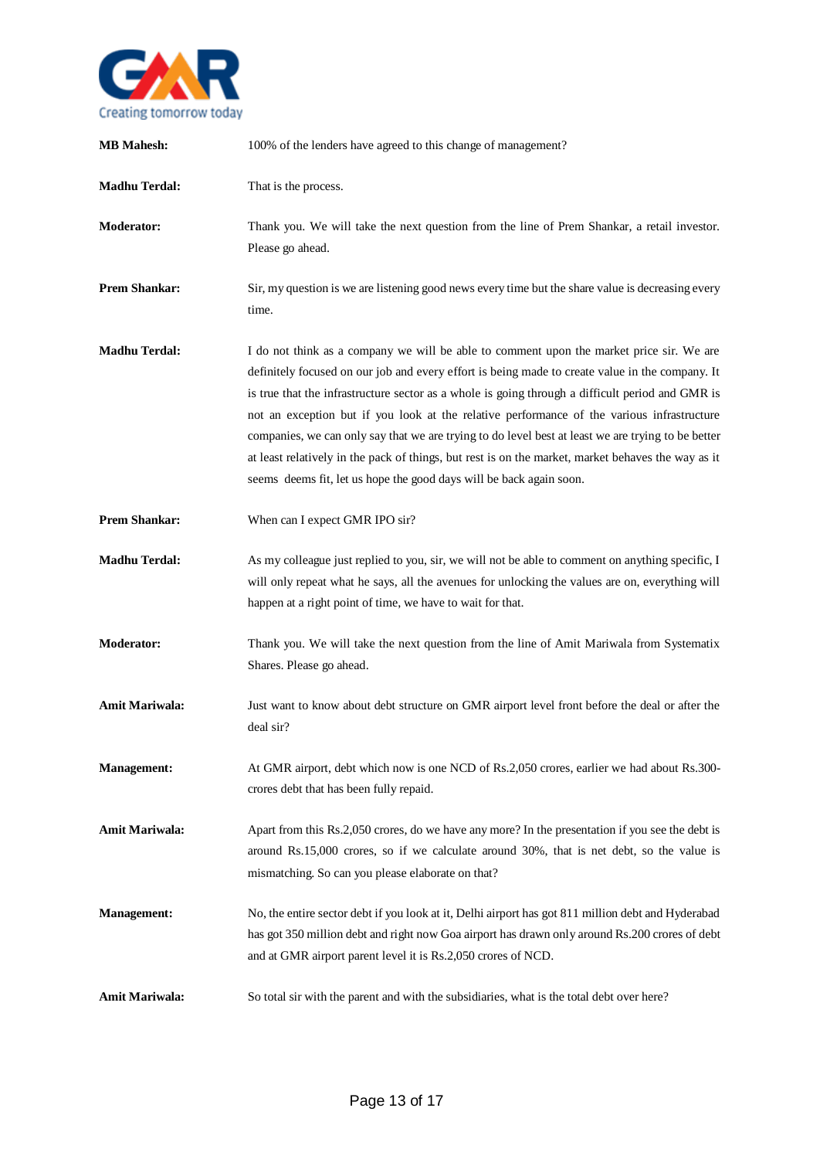

| <b>MB</b> Mahesh:     | 100% of the lenders have agreed to this change of management?                                                                                                                                                                                                                                                                                                                                                                                                                                                                                                                                                                                                                    |
|-----------------------|----------------------------------------------------------------------------------------------------------------------------------------------------------------------------------------------------------------------------------------------------------------------------------------------------------------------------------------------------------------------------------------------------------------------------------------------------------------------------------------------------------------------------------------------------------------------------------------------------------------------------------------------------------------------------------|
| <b>Madhu Terdal:</b>  | That is the process.                                                                                                                                                                                                                                                                                                                                                                                                                                                                                                                                                                                                                                                             |
| Moderator:            | Thank you. We will take the next question from the line of Prem Shankar, a retail investor.<br>Please go ahead.                                                                                                                                                                                                                                                                                                                                                                                                                                                                                                                                                                  |
| <b>Prem Shankar:</b>  | Sir, my question is we are listening good news every time but the share value is decreasing every<br>time.                                                                                                                                                                                                                                                                                                                                                                                                                                                                                                                                                                       |
| <b>Madhu Terdal:</b>  | I do not think as a company we will be able to comment upon the market price sir. We are<br>definitely focused on our job and every effort is being made to create value in the company. It<br>is true that the infrastructure sector as a whole is going through a difficult period and GMR is<br>not an exception but if you look at the relative performance of the various infrastructure<br>companies, we can only say that we are trying to do level best at least we are trying to be better<br>at least relatively in the pack of things, but rest is on the market, market behaves the way as it<br>seems deems fit, let us hope the good days will be back again soon. |
| <b>Prem Shankar:</b>  | When can I expect GMR IPO sir?                                                                                                                                                                                                                                                                                                                                                                                                                                                                                                                                                                                                                                                   |
| <b>Madhu Terdal:</b>  | As my colleague just replied to you, sir, we will not be able to comment on anything specific, I<br>will only repeat what he says, all the avenues for unlocking the values are on, everything will<br>happen at a right point of time, we have to wait for that.                                                                                                                                                                                                                                                                                                                                                                                                                |
| <b>Moderator:</b>     | Thank you. We will take the next question from the line of Amit Mariwala from Systematix<br>Shares. Please go ahead.                                                                                                                                                                                                                                                                                                                                                                                                                                                                                                                                                             |
| <b>Amit Mariwala:</b> | Just want to know about debt structure on GMR airport level front before the deal or after the<br>deal sir?                                                                                                                                                                                                                                                                                                                                                                                                                                                                                                                                                                      |
| <b>Management:</b>    | At GMR airport, debt which now is one NCD of Rs.2,050 crores, earlier we had about Rs.300-<br>crores debt that has been fully repaid.                                                                                                                                                                                                                                                                                                                                                                                                                                                                                                                                            |
| <b>Amit Mariwala:</b> | Apart from this Rs.2,050 crores, do we have any more? In the presentation if you see the debt is<br>around Rs.15,000 crores, so if we calculate around 30%, that is net debt, so the value is<br>mismatching. So can you please elaborate on that?                                                                                                                                                                                                                                                                                                                                                                                                                               |
| <b>Management:</b>    | No, the entire sector debt if you look at it, Delhi airport has got 811 million debt and Hyderabad<br>has got 350 million debt and right now Goa airport has drawn only around Rs.200 crores of debt<br>and at GMR airport parent level it is Rs.2,050 crores of NCD.                                                                                                                                                                                                                                                                                                                                                                                                            |
| <b>Amit Mariwala:</b> | So total sir with the parent and with the subsidiaries, what is the total debt over here?                                                                                                                                                                                                                                                                                                                                                                                                                                                                                                                                                                                        |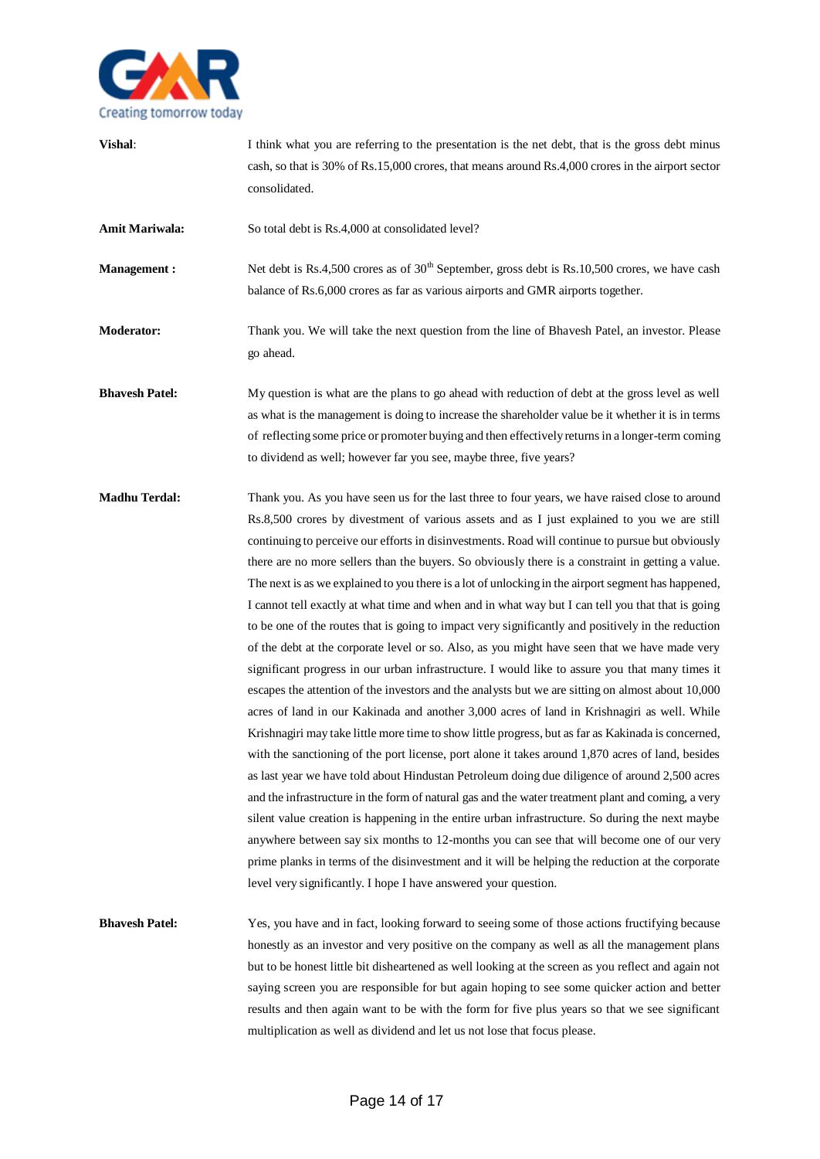

**Vishal:** I think what you are referring to the presentation is the net debt, that is the gross debt minus cash, so that is 30% of Rs.15,000 crores, that means around Rs.4,000 crores in the airport sector consolidated. Amit Mariwala: So total debt is Rs.4,000 at consolidated level? **Management :** Net debt is Rs.4,500 crores as of 30<sup>th</sup> September, gross debt is Rs.10,500 crores, we have cash balance of Rs.6,000 crores as far as various airports and GMR airports together. **Moderator:** Thank you. We will take the next question from the line of Bhavesh Patel, an investor. Please go ahead. **Bhavesh Patel:** My question is what are the plans to go ahead with reduction of debt at the gross level as well as what is the management is doing to increase the shareholder value be it whether it is in terms of reflecting some price or promoter buying and then effectively returns in a longer-term coming to dividend as well; however far you see, maybe three, five years? **Madhu Terdal:** Thank you. As you have seen us for the last three to four years, we have raised close to around Rs.8,500 crores by divestment of various assets and as I just explained to you we are still continuing to perceive our efforts in disinvestments. Road will continue to pursue but obviously there are no more sellers than the buyers. So obviously there is a constraint in getting a value. The next is as we explained to you there is a lot of unlocking in the airport segment has happened, I cannot tell exactly at what time and when and in what way but I can tell you that that is going to be one of the routes that is going to impact very significantly and positively in the reduction of the debt at the corporate level or so. Also, as you might have seen that we have made very significant progress in our urban infrastructure. I would like to assure you that many times it escapes the attention of the investors and the analysts but we are sitting on almost about 10,000 acres of land in our Kakinada and another 3,000 acres of land in Krishnagiri as well. While Krishnagiri may take little more time to show little progress, but as far as Kakinada is concerned, with the sanctioning of the port license, port alone it takes around 1,870 acres of land, besides as last year we have told about Hindustan Petroleum doing due diligence of around 2,500 acres and the infrastructure in the form of natural gas and the water treatment plant and coming, a very silent value creation is happening in the entire urban infrastructure. So during the next maybe anywhere between say six months to 12-months you can see that will become one of our very prime planks in terms of the disinvestment and it will be helping the reduction at the corporate level very significantly. I hope I have answered your question.

**Bhavesh Patel:** Yes, you have and in fact, looking forward to seeing some of those actions fructifying because honestly as an investor and very positive on the company as well as all the management plans but to be honest little bit disheartened as well looking at the screen as you reflect and again not saying screen you are responsible for but again hoping to see some quicker action and better results and then again want to be with the form for five plus years so that we see significant multiplication as well as dividend and let us not lose that focus please.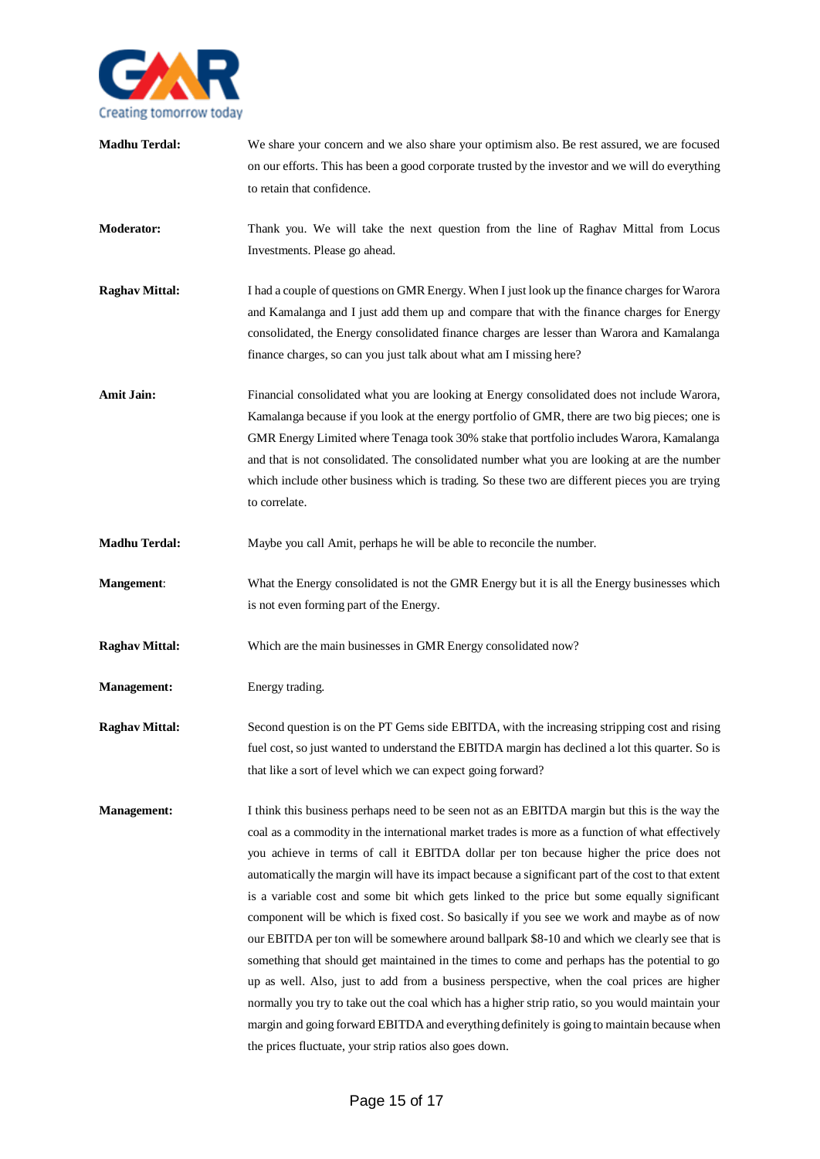

| <b>Madhu Terdal:</b>  | We share your concern and we also share your optimism also. Be rest assured, we are focused<br>on our efforts. This has been a good corporate trusted by the investor and we will do everything<br>to retain that confidence.                                                                                                                                                                                                                                                                                                                                                                                                                                                                                                                                                                                                                                                                                                                                                                                                                                                                                                                                 |
|-----------------------|---------------------------------------------------------------------------------------------------------------------------------------------------------------------------------------------------------------------------------------------------------------------------------------------------------------------------------------------------------------------------------------------------------------------------------------------------------------------------------------------------------------------------------------------------------------------------------------------------------------------------------------------------------------------------------------------------------------------------------------------------------------------------------------------------------------------------------------------------------------------------------------------------------------------------------------------------------------------------------------------------------------------------------------------------------------------------------------------------------------------------------------------------------------|
| <b>Moderator:</b>     | Thank you. We will take the next question from the line of Raghav Mittal from Locus<br>Investments. Please go ahead.                                                                                                                                                                                                                                                                                                                                                                                                                                                                                                                                                                                                                                                                                                                                                                                                                                                                                                                                                                                                                                          |
| <b>Raghav Mittal:</b> | I had a couple of questions on GMR Energy. When I just look up the finance charges for Warora<br>and Kamalanga and I just add them up and compare that with the finance charges for Energy<br>consolidated, the Energy consolidated finance charges are lesser than Warora and Kamalanga<br>finance charges, so can you just talk about what am I missing here?                                                                                                                                                                                                                                                                                                                                                                                                                                                                                                                                                                                                                                                                                                                                                                                               |
| <b>Amit Jain:</b>     | Financial consolidated what you are looking at Energy consolidated does not include Warora,<br>Kamalanga because if you look at the energy portfolio of GMR, there are two big pieces; one is<br>GMR Energy Limited where Tenaga took 30% stake that portfolio includes Warora, Kamalanga<br>and that is not consolidated. The consolidated number what you are looking at are the number<br>which include other business which is trading. So these two are different pieces you are trying<br>to correlate.                                                                                                                                                                                                                                                                                                                                                                                                                                                                                                                                                                                                                                                 |
| <b>Madhu Terdal:</b>  | Maybe you call Amit, perhaps he will be able to reconcile the number.                                                                                                                                                                                                                                                                                                                                                                                                                                                                                                                                                                                                                                                                                                                                                                                                                                                                                                                                                                                                                                                                                         |
| <b>Mangement:</b>     | What the Energy consolidated is not the GMR Energy but it is all the Energy businesses which<br>is not even forming part of the Energy.                                                                                                                                                                                                                                                                                                                                                                                                                                                                                                                                                                                                                                                                                                                                                                                                                                                                                                                                                                                                                       |
| <b>Raghav Mittal:</b> | Which are the main businesses in GMR Energy consolidated now?                                                                                                                                                                                                                                                                                                                                                                                                                                                                                                                                                                                                                                                                                                                                                                                                                                                                                                                                                                                                                                                                                                 |
| <b>Management:</b>    | Energy trading.                                                                                                                                                                                                                                                                                                                                                                                                                                                                                                                                                                                                                                                                                                                                                                                                                                                                                                                                                                                                                                                                                                                                               |
| <b>Raghav Mittal:</b> | Second question is on the PT Gems side EBITDA, with the increasing stripping cost and rising<br>fuel cost, so just wanted to understand the EBITDA margin has declined a lot this quarter. So is<br>that like a sort of level which we can expect going forward?                                                                                                                                                                                                                                                                                                                                                                                                                                                                                                                                                                                                                                                                                                                                                                                                                                                                                              |
| <b>Management:</b>    | I think this business perhaps need to be seen not as an EBITDA margin but this is the way the<br>coal as a commodity in the international market trades is more as a function of what effectively<br>you achieve in terms of call it EBITDA dollar per ton because higher the price does not<br>automatically the margin will have its impact because a significant part of the cost to that extent<br>is a variable cost and some bit which gets linked to the price but some equally significant<br>component will be which is fixed cost. So basically if you see we work and maybe as of now<br>our EBITDA per ton will be somewhere around ballpark \$8-10 and which we clearly see that is<br>something that should get maintained in the times to come and perhaps has the potential to go<br>up as well. Also, just to add from a business perspective, when the coal prices are higher<br>normally you try to take out the coal which has a higher strip ratio, so you would maintain your<br>margin and going forward EBITDA and everything definitely is going to maintain because when<br>the prices fluctuate, your strip ratios also goes down. |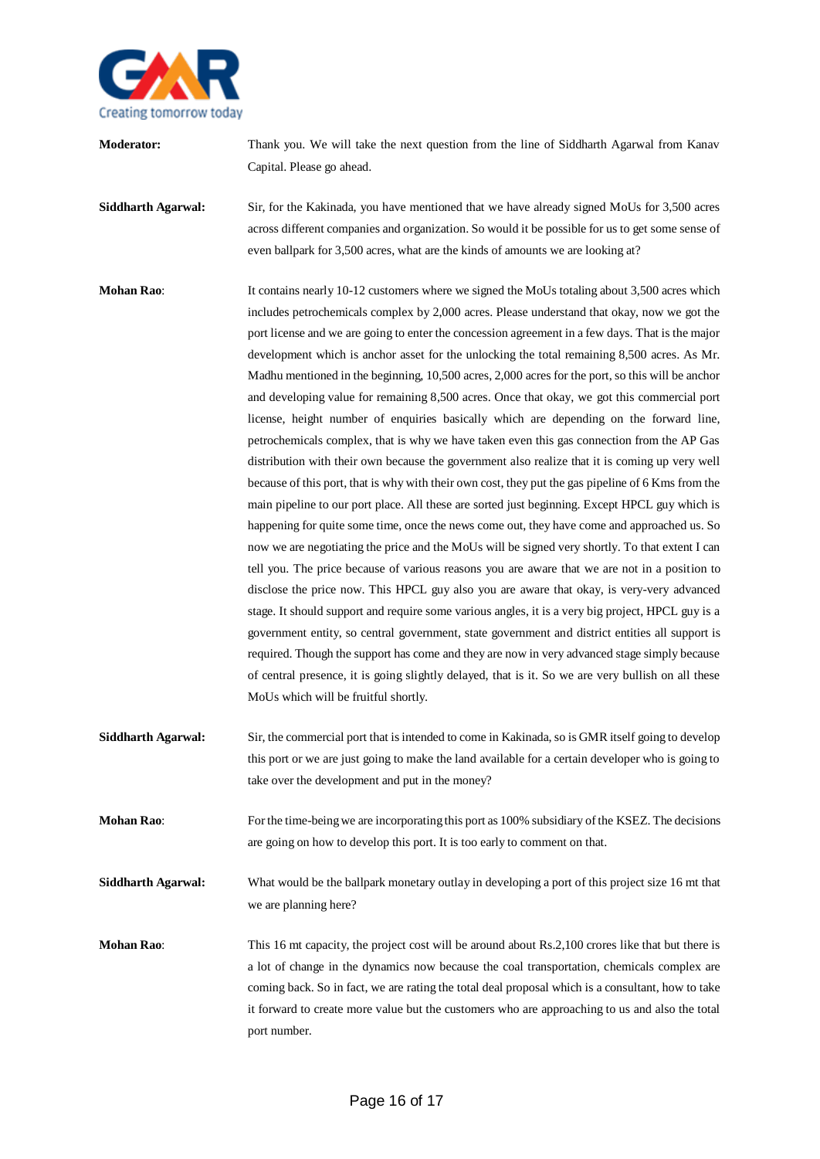

**Moderator:** Thank you. We will take the next question from the line of Siddharth Agarwal from Kanav Capital. Please go ahead.

**Siddharth Agarwal:** Sir, for the Kakinada, you have mentioned that we have already signed MoUs for 3,500 acres across different companies and organization. So would it be possible for us to get some sense of even ballpark for 3,500 acres, what are the kinds of amounts we are looking at?

**Mohan Rao:** It contains nearly 10-12 customers where we signed the MoUs totaling about 3,500 acres which includes petrochemicals complex by 2,000 acres. Please understand that okay, now we got the port license and we are going to enter the concession agreement in a few days. That is the major development which is anchor asset for the unlocking the total remaining 8,500 acres. As Mr. Madhu mentioned in the beginning, 10,500 acres, 2,000 acres for the port, so this will be anchor and developing value for remaining 8,500 acres. Once that okay, we got this commercial port license, height number of enquiries basically which are depending on the forward line, petrochemicals complex, that is why we have taken even this gas connection from the AP Gas distribution with their own because the government also realize that it is coming up very well because of this port, that is why with their own cost, they put the gas pipeline of 6 Kms from the main pipeline to our port place. All these are sorted just beginning. Except HPCL guy which is happening for quite some time, once the news come out, they have come and approached us. So now we are negotiating the price and the MoUs will be signed very shortly. To that extent I can tell you. The price because of various reasons you are aware that we are not in a position to disclose the price now. This HPCL guy also you are aware that okay, is very-very advanced stage. It should support and require some various angles, it is a very big project, HPCL guy is a government entity, so central government, state government and district entities all support is required. Though the support has come and they are now in very advanced stage simply because of central presence, it is going slightly delayed, that is it. So we are very bullish on all these MoUs which will be fruitful shortly.

- **Siddharth Agarwal:** Sir, the commercial port that is intended to come in Kakinada, so is GMR itself going to develop this port or we are just going to make the land available for a certain developer who is going to take over the development and put in the money?
- **Mohan Rao**: For the time-being we are incorporating this port as 100% subsidiary of the KSEZ. The decisions are going on how to develop this port. It is too early to comment on that.

**Siddharth Agarwal:** What would be the ballpark monetary outlay in developing a port of this project size 16 mt that we are planning here?

**Mohan Rao:** This 16 mt capacity, the project cost will be around about Rs.2,100 crores like that but there is a lot of change in the dynamics now because the coal transportation, chemicals complex are coming back. So in fact, we are rating the total deal proposal which is a consultant, how to take it forward to create more value but the customers who are approaching to us and also the total port number.